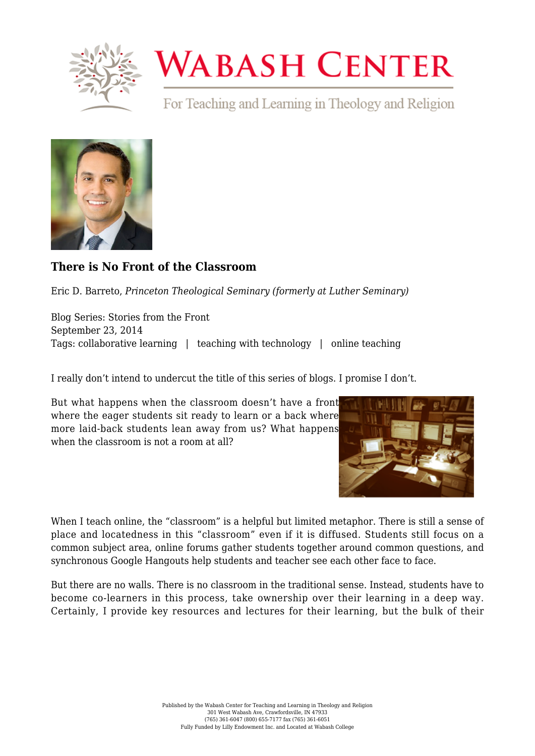

## **WABASH CENTER**

For Teaching and Learning in Theology and Religion



## **[There is No Front of the Classroom](https://www.wabashcenter.wabash.edu/2014/09/there-is-no-front-of-the-classroom/)**

Eric D. Barreto, *Princeton Theological Seminary (formerly at Luther Seminary)*

Blog Series: Stories from the Front September 23, 2014 Tags: collaborative learning | teaching with technology | online teaching

I really don't intend to undercut the title of this series of blogs. I promise I don't.

But what happens when the classroom doesn't have a front where the eager students sit ready to learn or a back where more laid-back students lean away from us? What happen[s](http://live-wabash.pantheonsite.io/wp-content/uploads/2016/07/6a016301e4b359970d01a73e19518a970d-pi.png) when the classroom is not a room at all?



When I teach online, the "classroom" is a helpful but limited metaphor. There is still a sense of place and locatedness in this "classroom" even if it is diffused. Students still focus on a common subject area, online forums gather students together around common questions, and synchronous Google Hangouts help students and teacher see each other face to face.

But there are no walls. There is no classroom in the traditional sense. Instead, students have to become co-learners in this process, take ownership over their learning in a deep way. Certainly, I provide key resources and lectures for their learning, but the bulk of their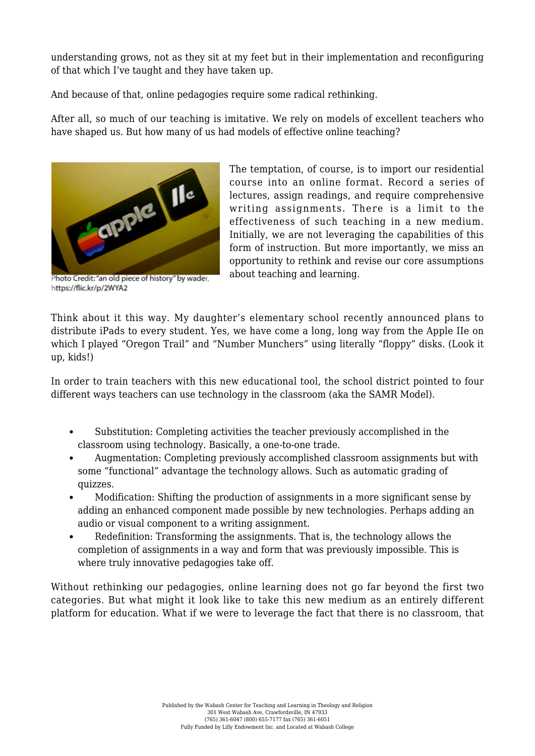understanding grows, not as they sit at my feet but in their implementation and reconfiguring of that which I've taught and they have taken up.

And because of that, online pedagogies require some radical rethinking.

After all, so much of our teaching is imitative. We rely on models of excellent teachers who have shaped us. But how many of us had models of effective online teaching?



Photo Credit: "an old piece of history" by wader, https://flic.kr/p/2WYA2

The temptation, of course, is to import our residential course into an online format. Record a series of lectures, assign readings, and require comprehensive writing assignments. There is a limit to the effectiveness of such teaching in a new medium. Initially, we are not leveraging the capabilities of this form of instruction. But more importantly, we miss an opportunity to rethink and revise our core assumptions about teaching and learning.

Think about it this way. My daughter's elementary school recently announced plans to distribute iPads to every student. Yes, we have come a long, long way from the Apple IIe on which I played "Oregon Trail" and "Number Munchers" using literally "floppy" disks. (Look it up, kids!)

In order to train teachers with this new educational tool, the school district pointed to four different ways teachers can use technology in the classroom ([aka the SAMR Model](https://sites.google.com/a/msad60.org/technology-is-learning/samr-model)).

- $\bullet$  Substitution: Completing activities the teacher previously accomplished in the classroom using technology. Basically, a one-to-one trade.
- Augmentation: Completing previously accomplished classroom assignments but with some "functional" advantage the technology allows. Such as automatic grading of quizzes.
- Modification: Shifting the production of assignments in a more significant sense by adding an enhanced component made possible by new technologies. Perhaps adding an audio or visual component to a writing assignment.
- Redefinition: Transforming the assignments. That is, the technology allows the completion of assignments in a way and form that was previously impossible. This is where truly innovative pedagogies take off.

Without rethinking our pedagogies, online learning does not go far beyond the first two categories. But what might it look like to take this new medium as an entirely different platform for education. What if we were to leverage the fact that there is no classroom, that